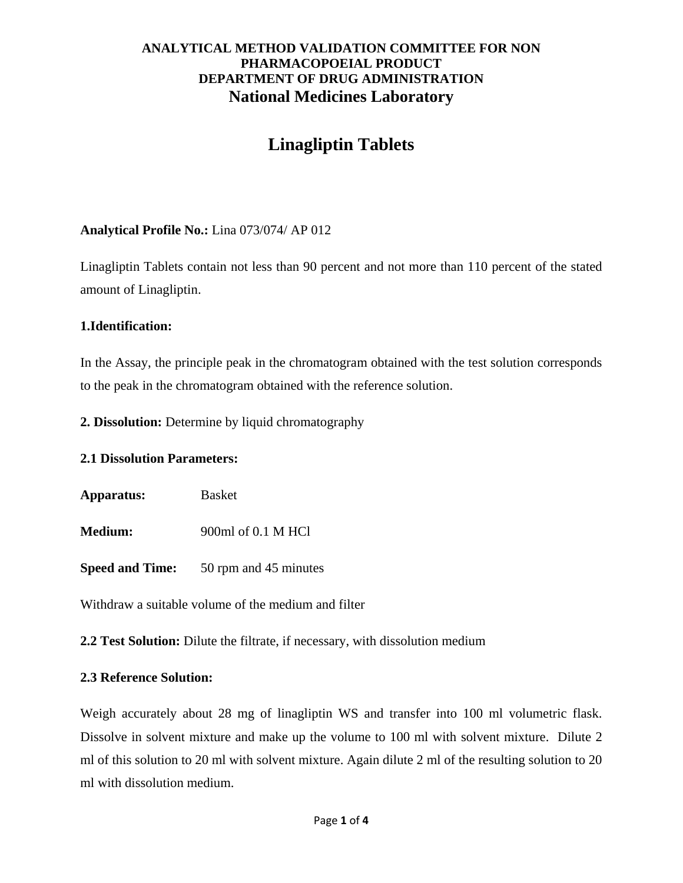# **Linagliptin Tablets**

# **Analytical Profile No.:** Lina 073/074/ AP 012

Linagliptin Tablets contain not less than 90 percent and not more than 110 percent of the stated amount of Linagliptin.

## **1.Identification:**

In the Assay, the principle peak in the chromatogram obtained with the test solution corresponds to the peak in the chromatogram obtained with the reference solution.

**2. Dissolution:** Determine by liquid chromatography

## **2.1 Dissolution Parameters:**

**Apparatus:** Basket

**Medium:** 900ml of 0.1 M HCl

**Speed and Time:** 50 rpm and 45 minutes

Withdraw a suitable volume of the medium and filter

**2.2 Test Solution:** Dilute the filtrate, if necessary, with dissolution medium

## **2.3 Reference Solution:**

Weigh accurately about 28 mg of linagliptin WS and transfer into 100 ml volumetric flask. Dissolve in solvent mixture and make up the volume to 100 ml with solvent mixture. Dilute 2 ml of this solution to 20 ml with solvent mixture. Again dilute 2 ml of the resulting solution to 20 ml with dissolution medium.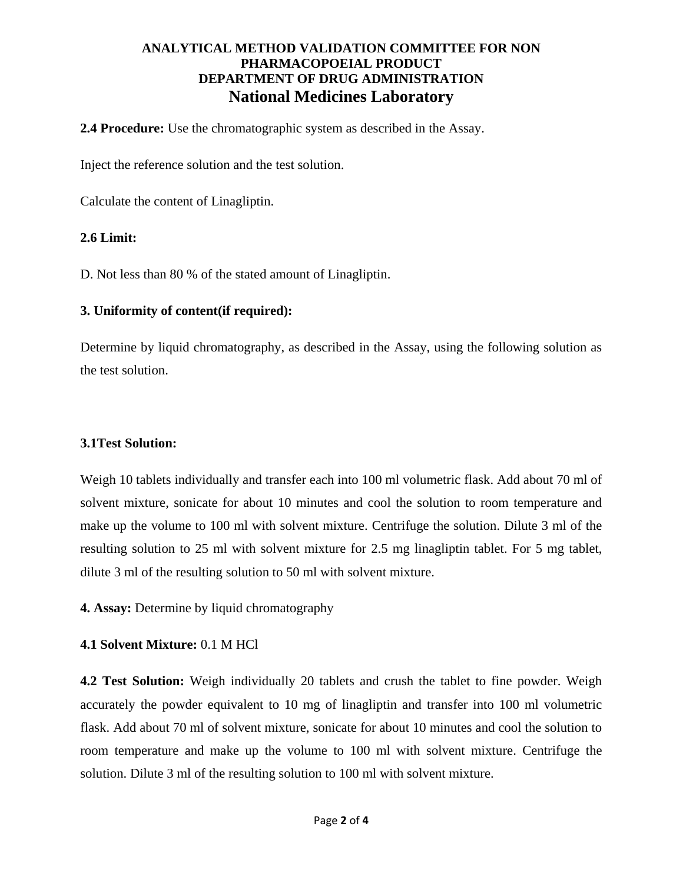**2.4 Procedure:** Use the chromatographic system as described in the Assay.

Inject the reference solution and the test solution.

Calculate the content of Linagliptin.

#### **2.6 Limit:**

D. Not less than 80 % of the stated amount of Linagliptin.

#### **3. Uniformity of content(if required):**

Determine by liquid chromatography, as described in the Assay, using the following solution as the test solution.

#### **3.1Test Solution:**

Weigh 10 tablets individually and transfer each into 100 ml volumetric flask. Add about 70 ml of solvent mixture, sonicate for about 10 minutes and cool the solution to room temperature and make up the volume to 100 ml with solvent mixture. Centrifuge the solution. Dilute 3 ml of the resulting solution to 25 ml with solvent mixture for 2.5 mg linagliptin tablet. For 5 mg tablet, dilute 3 ml of the resulting solution to 50 ml with solvent mixture.

**4. Assay:** Determine by liquid chromatography

## **4.1 Solvent Mixture:** 0.1 M HCl

**4.2 Test Solution:** Weigh individually 20 tablets and crush the tablet to fine powder. Weigh accurately the powder equivalent to 10 mg of linagliptin and transfer into 100 ml volumetric flask. Add about 70 ml of solvent mixture, sonicate for about 10 minutes and cool the solution to room temperature and make up the volume to 100 ml with solvent mixture. Centrifuge the solution. Dilute 3 ml of the resulting solution to 100 ml with solvent mixture.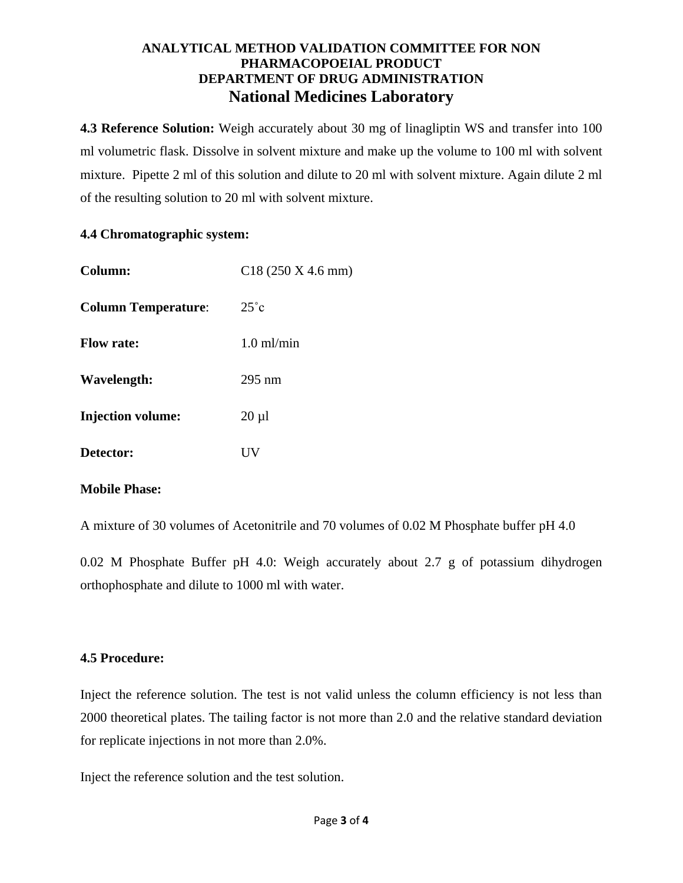**4.3 Reference Solution:** Weigh accurately about 30 mg of linagliptin WS and transfer into 100 ml volumetric flask. Dissolve in solvent mixture and make up the volume to 100 ml with solvent mixture. Pipette 2 ml of this solution and dilute to 20 ml with solvent mixture. Again dilute 2 ml of the resulting solution to 20 ml with solvent mixture.

#### **4.4 Chromatographic system:**

| Column:                    | C18(250 X 4.6 mm)    |
|----------------------------|----------------------|
| <b>Column Temperature:</b> | $25^{\circ}c$        |
| <b>Flow rate:</b>          | $1.0 \text{ ml/min}$ |
| Wavelength:                | $295 \text{ nm}$     |
| <b>Injection volume:</b>   | $20 \mu l$           |
| Detector:                  | НV                   |

#### **Mobile Phase:**

A mixture of 30 volumes of Acetonitrile and 70 volumes of 0.02 M Phosphate buffer pH 4.0

0.02 M Phosphate Buffer pH 4.0: Weigh accurately about 2.7 g of potassium dihydrogen orthophosphate and dilute to 1000 ml with water.

## **4.5 Procedure:**

Inject the reference solution. The test is not valid unless the column efficiency is not less than 2000 theoretical plates. The tailing factor is not more than 2.0 and the relative standard deviation for replicate injections in not more than 2.0%.

Inject the reference solution and the test solution.